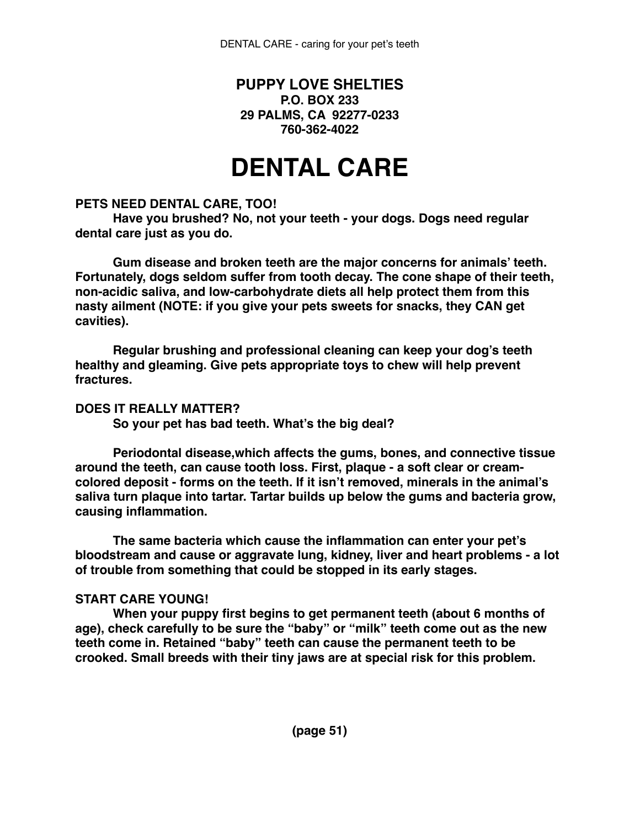# **PUPPY LOVE SHELTIES P.O. BOX 233 29 PALMS, CA 92277-0233 760-362-4022**

# **DENTAL CARE**

### **PETS NEED DENTAL CARE, TOO!**

**Have you brushed? No, not your teeth - your dogs. Dogs need regular dental care just as you do.**

**Gum disease and broken teeth are the major concerns for animals' teeth. Fortunately, dogs seldom suffer from tooth decay. The cone shape of their teeth, non-acidic saliva, and low-carbohydrate diets all help protect them from this nasty ailment (NOTE: if you give your pets sweets for snacks, they CAN get cavities).**

**Regular brushing and professional cleaning can keep your dog's teeth healthy and gleaming. Give pets appropriate toys to chew will help prevent fractures.**

## **DOES IT REALLY MATTER?**

**So your pet has bad teeth. What's the big deal?**

**Periodontal disease,which affects the gums, bones, and connective tissue around the teeth, can cause tooth loss. First, plaque - a soft clear or creamcolored deposit - forms on the teeth. If it isn't removed, minerals in the animal's saliva turn plaque into tartar. Tartar builds up below the gums and bacteria grow, causing inflammation.**

**The same bacteria which cause the inflammation can enter your pet's bloodstream and cause or aggravate lung, kidney, liver and heart problems - a lot of trouble from something that could be stopped in its early stages.**

## **START CARE YOUNG!**

**When your puppy first begins to get permanent teeth (about 6 months of age), check carefully to be sure the "baby" or "milk" teeth come out as the new teeth come in. Retained "baby" teeth can cause the permanent teeth to be crooked. Small breeds with their tiny jaws are at special risk for this problem.**